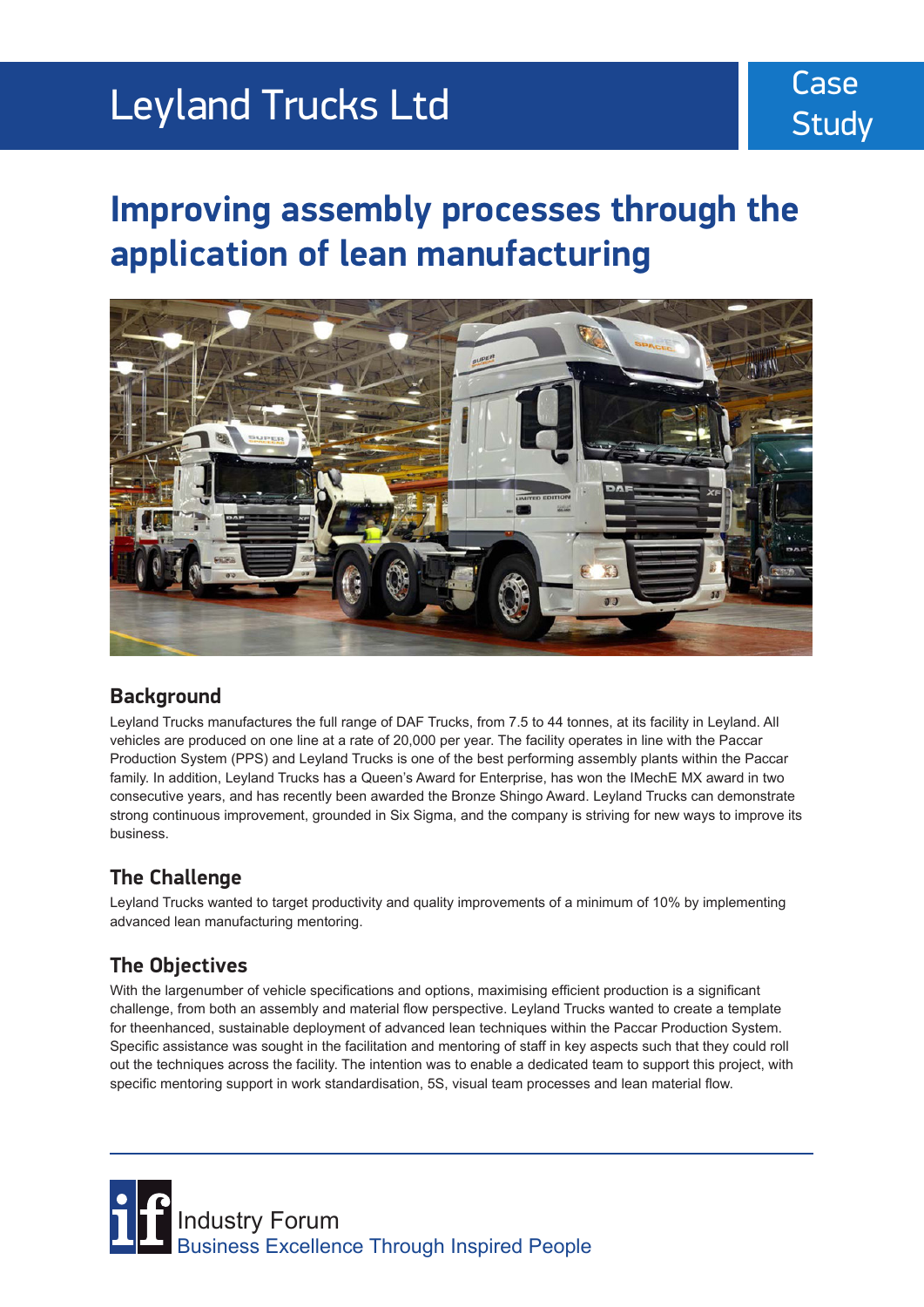## Leyland Trucks Ltd

## **Improving assembly processes through the application of lean manufacturing**



#### **Background**

Leyland Trucks manufactures the full range of DAF Trucks, from 7.5 to 44 tonnes, at its facility in Leyland. All vehicles are produced on one line at a rate of 20,000 per year. The facility operates in line with the Paccar Production System (PPS) and Leyland Trucks is one of the best performing assembly plants within the Paccar family. In addition, Leyland Trucks has a Queen's Award for Enterprise, has won the IMechE MX award in two consecutive years, and has recently been awarded the Bronze Shingo Award. Leyland Trucks can demonstrate strong continuous improvement, grounded in Six Sigma, and the company is striving for new ways to improve its business.

#### **The Challenge**

Leyland Trucks wanted to target productivity and quality improvements of a minimum of 10% by implementing advanced lean manufacturing mentoring.

### **The Objectives**

With the largenumber of vehicle specifications and options, maximising efficient production is a significant challenge, from both an assembly and material flow perspective. Leyland Trucks wanted to create a template for theenhanced, sustainable deployment of advanced lean techniques within the Paccar Production System. Specific assistance was sought in the facilitation and mentoring of staff in key aspects such that they could roll out the techniques across the facility. The intention was to enable a dedicated team to support this project, with specific mentoring support in work standardisation, 5S, visual team processes and lean material flow.